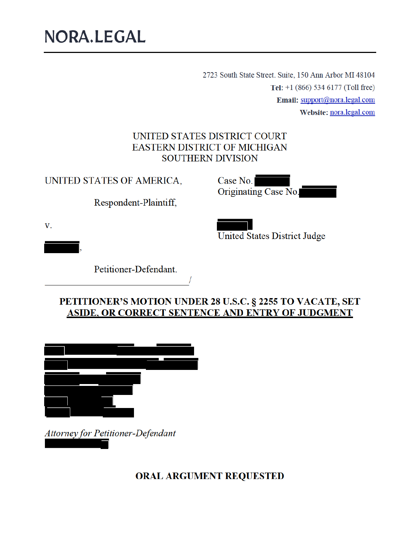# NORA.LEGAL

2723 South State Street. Suite, 150 Ann Arbor MI 48104 Tel:  $+1$  (866) 534 6177 (Toll free) Email: support@nora.legal.com Website: nora.legal.com

#### UNITED STATES DISTRICT COURT **EASTERN DISTRICT OF MICHIGAN SOUTHERN DIVISION**

UNITED STATES OF AMERICA,

Respondent-Plaintiff,

Case No. Originating Case No.

 $V_{\odot}$ 

**United States District Judge** 

Petitioner-Defendant.

PETITIONER'S MOTION UNDER 28 U.S.C. § 2255 TO VACATE, SET ASIDE, OR CORRECT SENTENCE AND ENTRY OF JUDGMENT

Attorney for Petitioner-Defendant

**ORAL ARGUMENT REQUESTED**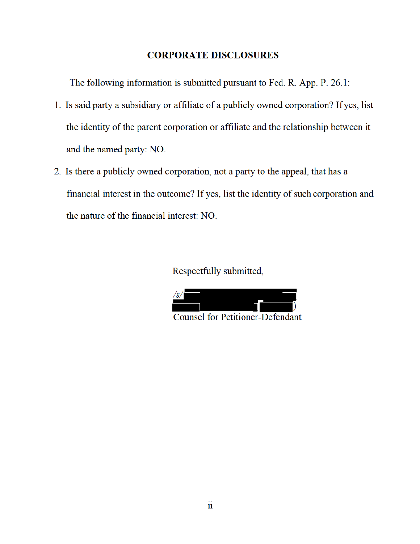#### **CORPORATE DISCLOSURES**

The following information is submitted pursuant to Fed. R. App. P. 26.1:

- 1. Is said party a subsidiary or affiliate of a publicly owned corporation? If yes, list the identity of the parent corporation or affiliate and the relationship between it and the named party: NO.
- 2. Is there a publicly owned corporation, not a party to the appeal, that has a financial interest in the outcome? If yes, list the identity of such corporation and the nature of the financial interest: NO.

Respectfully submitted,



 $\ddot{\mathbf{u}}$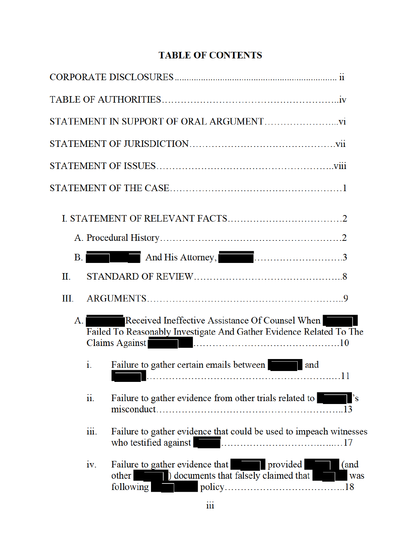## **TABLE OF CONTENTS**

| <b>B.</b> |                           | And His Attorney,                                                                                                                                                                                                                                                                                          |             |
|-----------|---------------------------|------------------------------------------------------------------------------------------------------------------------------------------------------------------------------------------------------------------------------------------------------------------------------------------------------------|-------------|
| $\Pi$ .   |                           |                                                                                                                                                                                                                                                                                                            |             |
| III.      |                           |                                                                                                                                                                                                                                                                                                            |             |
| A. I      |                           | Received Ineffective Assistance Of Counsel When<br>Failed To Reasonably Investigate And Gather Evidence Related To The<br>Claims Against                                                                                                                                                                   |             |
|           | i.                        | Failure to gather certain emails between and                                                                                                                                                                                                                                                               |             |
|           | ii.                       | Failure to gather evidence from other trials related to                                                                                                                                                                                                                                                    |             |
|           | $\overline{\text{iii}}$ . | Failure to gather evidence that could be used to impeach witnesses<br>who testified against <b>Container and the set of the set of the set of the set of the set of the set of the set of the set of the set of the set of the set of the set of the set of the set of the set of the set of the set o</b> |             |
|           | 1V <sub>1</sub>           | Failure to gather evidence that <b>The provided</b><br>other a between a between that falsely claimed that<br>policy<br>following                                                                                                                                                                          | (and<br>was |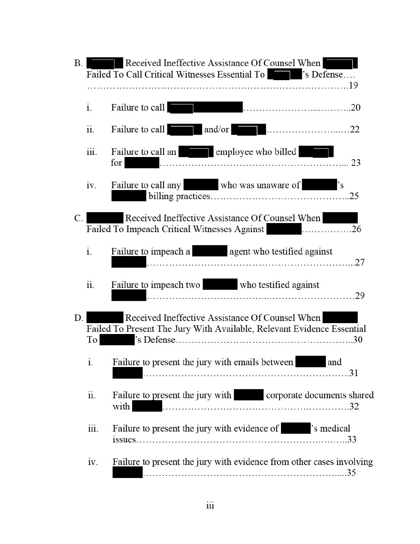| B <sub>1</sub> | Received Ineffective Assistance Of Counsel When<br>Failed To Call Critical Witnesses Essential To Table 7's Defense |                                                                                                                           |  |  |  |
|----------------|---------------------------------------------------------------------------------------------------------------------|---------------------------------------------------------------------------------------------------------------------------|--|--|--|
|                | i.                                                                                                                  | Failure to call                                                                                                           |  |  |  |
|                | $\overline{11}$ .                                                                                                   | Failure to call and/or and/or 22                                                                                          |  |  |  |
|                | iii.                                                                                                                | Failure to call an employee who billed<br>23<br>for                                                                       |  |  |  |
|                | iv.                                                                                                                 | Failure to call any who was unaware of 's                                                                                 |  |  |  |
| $C_{\cdot}$    |                                                                                                                     | Received Ineffective Assistance Of Counsel When<br>Failed To Impeach Critical Witnesses Against <b>Exercise 2018</b> 26   |  |  |  |
|                | i.                                                                                                                  | Failure to impeach a sales agent who testified against<br>27                                                              |  |  |  |
|                | ii.                                                                                                                 | Failure to impeach two who testified against<br>.29                                                                       |  |  |  |
| D.             | To                                                                                                                  | Received Ineffective Assistance Of Counsel When<br>Failed To Present The Jury With Available, Relevant Evidence Essential |  |  |  |
|                | 1.                                                                                                                  | Failure to present the jury with emails between<br>and                                                                    |  |  |  |
|                | ii.                                                                                                                 | Failure to present the jury with corporate documents shared<br>with                                                       |  |  |  |
|                | iii.                                                                                                                | Failure to present the jury with evidence of Tailure is medical                                                           |  |  |  |
|                | iv.                                                                                                                 | Failure to present the jury with evidence from other cases involving                                                      |  |  |  |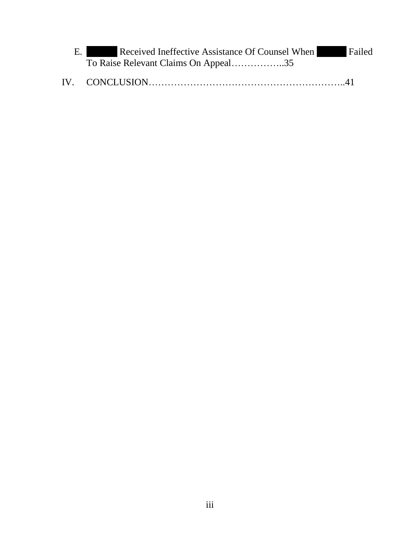| Е. | Received Ineffective Assistance Of Counsel When | Failed |
|----|-------------------------------------------------|--------|
|    | To Raise Relevant Claims On Appeal35            |        |

| IV. |  |  |  |
|-----|--|--|--|
|-----|--|--|--|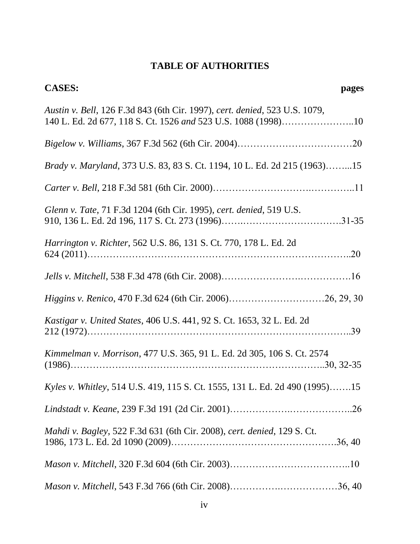## **TABLE OF AUTHORITIES**

| <b>CASES:</b><br>pages                                                                                                                      |
|---------------------------------------------------------------------------------------------------------------------------------------------|
| Austin v. Bell, 126 F.3d 843 (6th Cir. 1997), cert. denied, 523 U.S. 1079,<br>140 L. Ed. 2d 677, 118 S. Ct. 1526 and 523 U.S. 1088 (1998)10 |
|                                                                                                                                             |
| <i>Brady v. Maryland, 373 U.S. 83, 83 S. Ct. 1194, 10 L. Ed. 2d 215 (1963)15</i>                                                            |
|                                                                                                                                             |
| Glenn v. Tate, 71 F.3d 1204 (6th Cir. 1995), cert. denied, 519 U.S.                                                                         |
| Harrington v. Richter, 562 U.S. 86, 131 S. Ct. 770, 178 L. Ed. 2d                                                                           |
|                                                                                                                                             |
| Higgins v. Renico, 470 F.3d 624 (6th Cir. 2006)26, 29, 30                                                                                   |
| Kastigar v. United States, 406 U.S. 441, 92 S. Ct. 1653, 32 L. Ed. 2d                                                                       |
| Kimmelman v. Morrison, 477 U.S. 365, 91 L. Ed. 2d 305, 106 S. Ct. 2574                                                                      |
| Kyles v. Whitley, 514 U.S. 419, 115 S. Ct. 1555, 131 L. Ed. 2d 490 (1995)15                                                                 |
|                                                                                                                                             |
| Mahdi v. Bagley, 522 F.3d 631 (6th Cir. 2008), cert. denied, 129 S. Ct.                                                                     |
|                                                                                                                                             |
|                                                                                                                                             |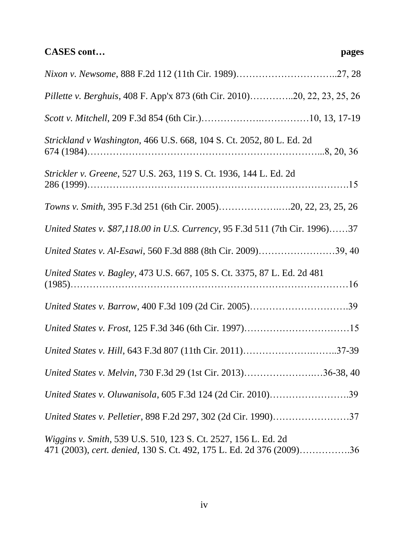## **CASES cont… pages**

| Pillette v. Berghuis, 408 F. App'x 873 (6th Cir. 2010)20, 22, 23, 25, 26                                                                       |
|------------------------------------------------------------------------------------------------------------------------------------------------|
|                                                                                                                                                |
| Strickland v Washington, 466 U.S. 668, 104 S. Ct. 2052, 80 L. Ed. 2d                                                                           |
| Strickler v. Greene, 527 U.S. 263, 119 S. Ct. 1936, 144 L. Ed. 2d                                                                              |
| Towns v. Smith, 395 F.3d 251 (6th Cir. 2005)20, 22, 23, 25, 26                                                                                 |
| United States v. \$87,118.00 in U.S. Currency, 95 F.3d 511 (7th Cir. 1996)37                                                                   |
| United States v. Al-Esawi, 560 F.3d 888 (8th Cir. 2009)39, 40                                                                                  |
| United States v. Bagley, 473 U.S. 667, 105 S. Ct. 3375, 87 L. Ed. 2d 481                                                                       |
|                                                                                                                                                |
|                                                                                                                                                |
| United States v. Hill, 643 F.3d 807 (11th Cir. 2011)37-39                                                                                      |
| United States v. Melvin, 730 F.3d 29 (1st Cir. 2013)36-38, 40                                                                                  |
| United States v. Oluwanisola, 605 F.3d 124 (2d Cir. 2010)39                                                                                    |
| United States v. Pelletier, 898 F.2d 297, 302 (2d Cir. 1990)37                                                                                 |
| <i>Wiggins v. Smith, 539 U.S. 510, 123 S. Ct. 2527, 156 L. Ed. 2d.</i><br>471 (2003), cert. denied, 130 S. Ct. 492, 175 L. Ed. 2d 376 (2009)36 |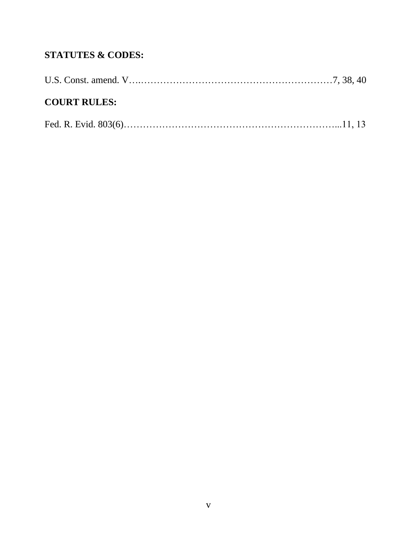## **STATUTES & CODES:**

| <b>COURT RULES:</b> |  |
|---------------------|--|
|                     |  |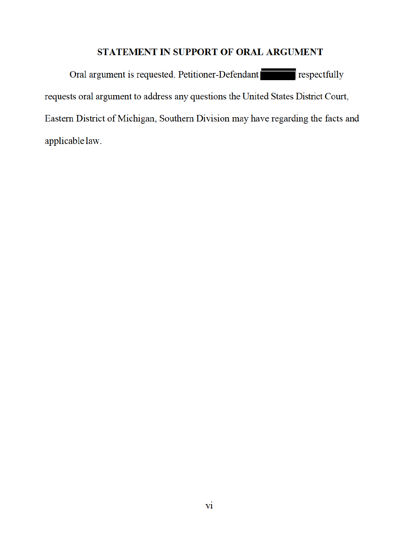## STATEMENT IN SUPPORT OF ORAL ARGUMENT

Oral argument is requested. Petitioner-Defendant respectfully requests oral argument to address any questions the United States District Court, Eastern District of Michigan, Southern Division may have regarding the facts and applicable law.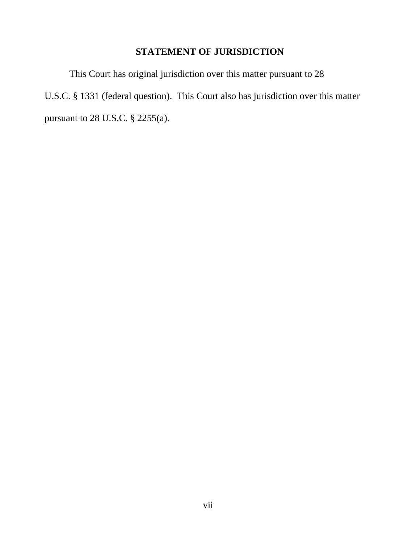## **STATEMENT OF JURISDICTION**

This Court has original jurisdiction over this matter pursuant to 28 U.S.C. § 1331 (federal question). This Court also has jurisdiction over this matter pursuant to 28 U.S.C. § 2255(a).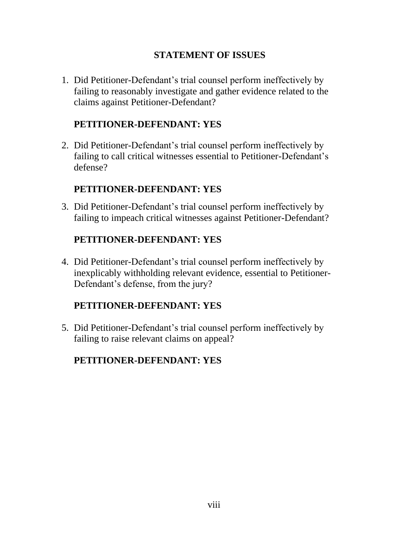## **STATEMENT OF ISSUES**

1. Did Petitioner-Defendant's trial counsel perform ineffectively by failing to reasonably investigate and gather evidence related to the claims against Petitioner-Defendant?

## **PETITIONER-DEFENDANT: YES**

2. Did Petitioner-Defendant's trial counsel perform ineffectively by failing to call critical witnesses essential to Petitioner-Defendant's defense?

## **PETITIONER-DEFENDANT: YES**

3. Did Petitioner-Defendant's trial counsel perform ineffectively by failing to impeach critical witnesses against Petitioner-Defendant?

## **PETITIONER-DEFENDANT: YES**

4. Did Petitioner-Defendant's trial counsel perform ineffectively by inexplicably withholding relevant evidence, essential to Petitioner-Defendant's defense, from the jury?

## **PETITIONER-DEFENDANT: YES**

5. Did Petitioner-Defendant's trial counsel perform ineffectively by failing to raise relevant claims on appeal?

## **PETITIONER-DEFENDANT: YES**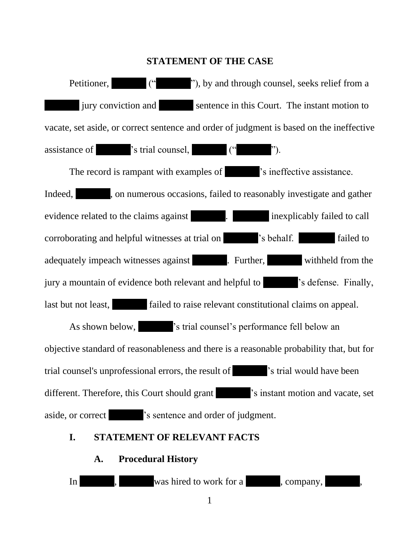#### **STATEMENT OF THE CASE**

Petitioner, (" "), by and through counsel, seeks relief from a jury conviction and sentence in this Court. The instant motion to vacate, set aside, or correct sentence and order of judgment is based on the ineffective assistance of  $\blacksquare$  's trial counsel,  $\blacksquare$  (" "). The record is rampant with examples of  $\blacksquare$  's ineffective assistance. Indeed, , on numerous occasions, failed to reasonably investigate and gather evidence related to the claims against **inexplicably failed to call** corroborating and helpful witnesses at trial on 's behalf. failed to adequately impeach witnesses against **.** Further, withheld from the jury a mountain of evidence both relevant and helpful to 's defense. Finally, last but not least, failed to raise relevant constitutional claims on appeal. As shown below,  $\cdot$  's trial counsel's performance fell below an objective standard of reasonableness and there is a reasonable probability that, but for trial counsel's unprofessional errors, the result of 's trial would have been different. Therefore, this Court should grant  $\cdot$  's instant motion and vacate, set aside, or correct 's sentence and order of judgment.

#### **I. STATEMENT OF RELEVANT FACTS**

#### **A. Procedural History**



1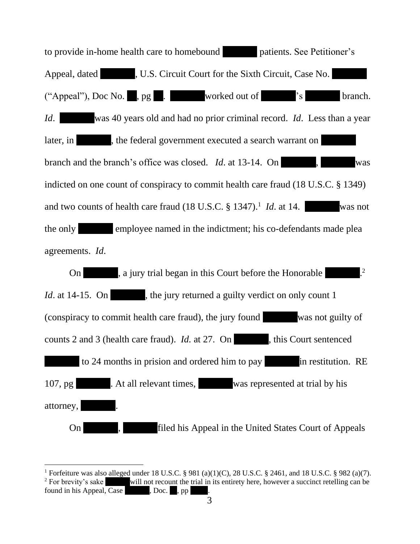to provide in-home health care to homebound patients. See Petitioner's Appeal, dated  $\blacksquare$ , U.S. Circuit Court for the Sixth Circuit, Case No. ("Appeal"), Doc No. , pg . worked out of 's branch. *Id*. was 40 years old and had no prior criminal record. *Id*. Less than a year later, in , the federal government executed a search warrant on branch and the branch's office was closed. *Id.* at 13-14. On , was indicted on one count of conspiracy to commit health care fraud (18 U.S.C. § 1349) and two counts of health care fraud  $(18 \text{ U.S.C.} \S 1347).$ <sup>1</sup> *Id.* at 14. was not the only employee named in the indictment; his co-defendants made plea agreements. *Id*. On 2. a jury trial began in this Court before the Honorable 2 *Id.* at 14-15. On , the jury returned a guilty verdict on only count 1 (conspiracy to commit health care fraud), the jury found was not guilty of counts 2 and 3 (health care fraud). *Id.* at 27. On , this Court sentenced to 24 months in prision and ordered him to pay in restitution. RE 107, pg . At all relevant times, was represented at trial by his attorney, On , filed his Appeal in the United States Court of Appeals

<sup>&</sup>lt;sup>1</sup> Forfeiture was also alleged under 18 U.S.C. § 981 (a)(1)(C), 28 U.S.C. § 2461, and 18 U.S.C. § 982 (a)(7). <sup>2</sup> For brevity's sake will not recount the trial in its entirety here, however a succinct retelling can be found in his Appeal, Case  $\qquad \qquad$ , Doc.  $\qquad$ , pp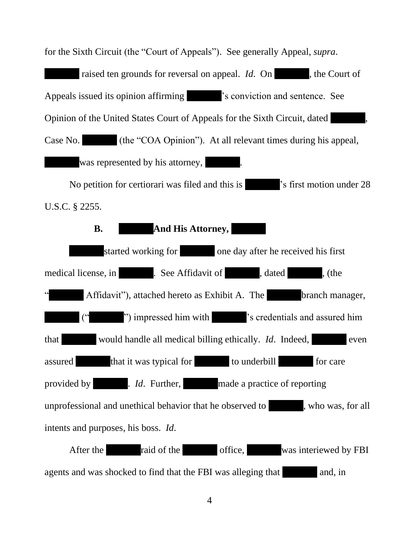for the Sixth Circuit (the "Court of Appeals"). See generally Appeal, *supra*.

raised ten grounds for reversal on appeal. *Id*. On , the Court of Appeals issued its opinion affirming  $\blacksquare$  's conviction and sentence. See Opinion of the United States Court of Appeals for the Sixth Circuit, dated , Case No. (the "COA Opinion"). At all relevant times during his appeal, was represented by his attorney,

No petition for certiorari was filed and this is 's first motion under 28 U.S.C. § 2255.



agents and was shocked to find that the FBI was alleging that and, in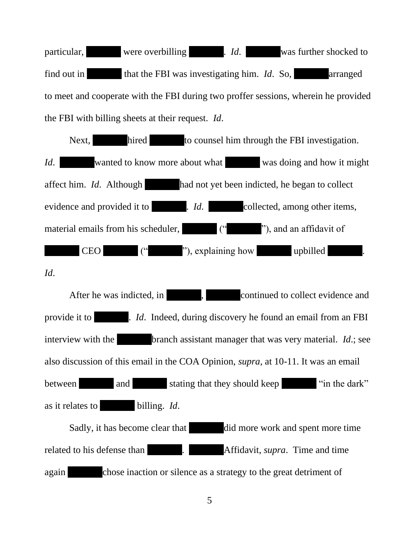particular, were overbilling . *Id*. was further shocked to find out in that the FBI was investigating him. *Id*. So, arranged to meet and cooperate with the FBI during two proffer sessions, wherein he provided the FBI with billing sheets at their request. *Id*.



*Id*.

After he was indicted, in  $\blacksquare$ , continued to collect evidence and provide it to . *Id*. Indeed, during discovery he found an email from an FBI interview with the branch assistant manager that was very material. *Id*.; see also discussion of this email in the COA Opinion, *supra*, at 10-11. It was an email between and and stating that they should keep "in the dark" as it relates to billing. *Id*. Sadly, it has become clear that did more work and spent more time related to his defense than **the set of the set of the set of the set of the set of the set of the set of the set of the set of the set of the set of the set of the set of the set of the set of the set of the set of the se** again chose inaction or silence as a strategy to the great detriment of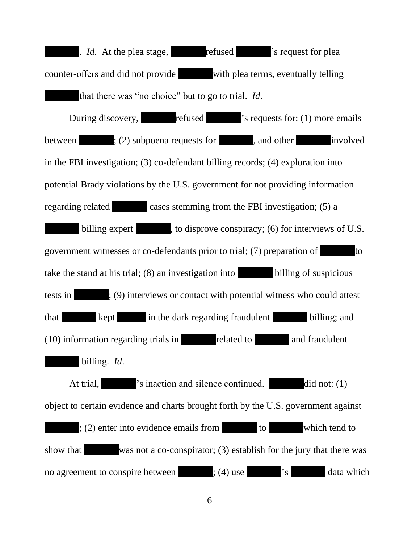. *Id*. At the plea stage, refused 's request for plea counter-offers and did not provide with plea terms, eventually telling that there was "no choice" but to go to trial. *Id*. During discovery, refused 's requests for: (1) more emails between : (2) subpoena requests for , and other involved in the FBI investigation; (3) co-defendant billing records; (4) exploration into potential Brady violations by the U.S. government for not providing information regarding related cases stemming from the FBI investigation; (5) a billing expert , to disprove conspiracy; (6) for interviews of U.S. government witnesses or co-defendants prior to trial; (7) preparation of to take the stand at his trial; (8) an investigation into billing of suspicious tests in : (9) interviews or contact with potential witness who could attest that kept in the dark regarding fraudulent billing; and (10) information regarding trials in related to and fraudulent billing. *Id*. At trial,  $\blacksquare$  's inaction and silence continued. did not: (1) object to certain evidence and charts brought forth by the U.S. government against ; (2) enter into evidence emails from to which tend to show that was not a co-conspirator; (3) establish for the jury that there was no agreement to conspire between ; (4) use  $\cdot$  s data which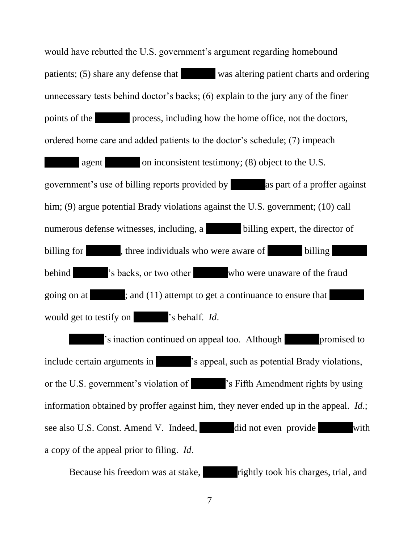would have rebutted the U.S. government's argument regarding homebound patients; (5) share any defense that was altering patient charts and ordering unnecessary tests behind doctor's backs; (6) explain to the jury any of the finer points of the process, including how the home office, not the doctors, ordered home care and added patients to the doctor's schedule; (7) impeach agent on inconsistent testimony; (8) object to the U.S. government's use of billing reports provided by as part of a proffer against him; (9) argue potential Brady violations against the U.S. government; (10) call numerous defense witnesses, including, a billing expert, the director of billing for , three individuals who were aware of billing behind  $\cdot$  's backs, or two other who were unaware of the fraud going on at ; and (11) attempt to get a continuance to ensure that would get to testify on 's behalf. *Id*.

's inaction continued on appeal too. Although promised to include certain arguments in  $\blacksquare$  's appeal, such as potential Brady violations, or the U.S. government's violation of 's Fifth Amendment rights by using information obtained by proffer against him, they never ended up in the appeal. *Id*.; see also U.S. Const. Amend V. Indeed, did not even provide with a copy of the appeal prior to filing. *Id*.

Because his freedom was at stake, rightly took his charges, trial, and

7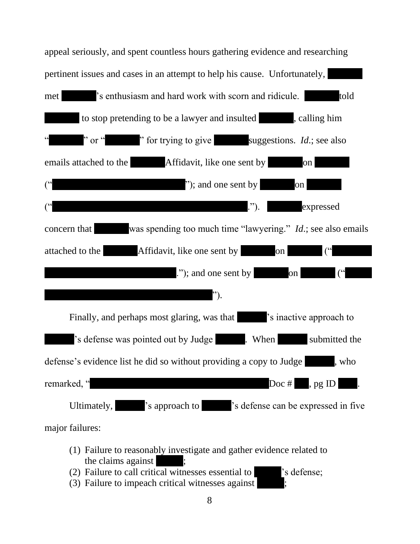

- (1) Failure to reasonably investigate and gather evidence related to the claims against
- (2) Failure to call critical witnesses essential to 's defense;
- (3) Failure to impeach critical witnesses against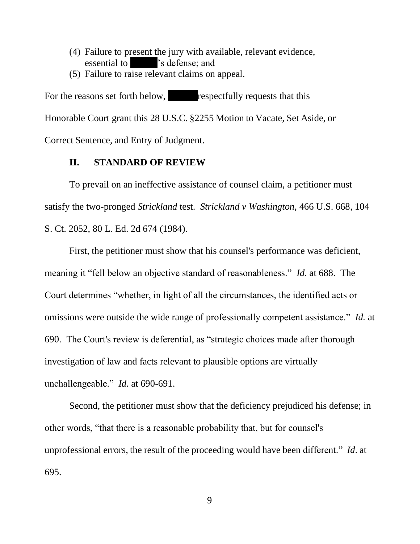- (4) Failure to present the jury with available, relevant evidence, essential to 's defense; and
- (5) Failure to raise relevant claims on appeal.

For the reasons set forth below, respectfully requests that this Honorable Court grant this 28 U.S.C. §2255 Motion to Vacate, Set Aside, or Correct Sentence, and Entry of Judgment.

#### **II. STANDARD OF REVIEW**

To prevail on an ineffective assistance of counsel claim, a petitioner must satisfy the two-pronged *Strickland* test. *Strickland v Washington,* 466 U.S. 668, 104 S. Ct. 2052, 80 L. Ed. 2d 674 (1984).

First, the petitioner must show that his counsel's performance was deficient, meaning it "fell below an objective standard of reasonableness." *Id.* at 688. The Court determines "whether, in light of all the circumstances, the identified acts or omissions were outside the wide range of professionally competent assistance." *Id.* at 690. The Court's review is deferential, as "strategic choices made after thorough investigation of law and facts relevant to plausible options are virtually unchallengeable." *Id*. at 690-691.

Second, the petitioner must show that the deficiency prejudiced his defense; in other words, "that there is a reasonable probability that, but for counsel's unprofessional errors, the result of the proceeding would have been different." *Id*. at 695.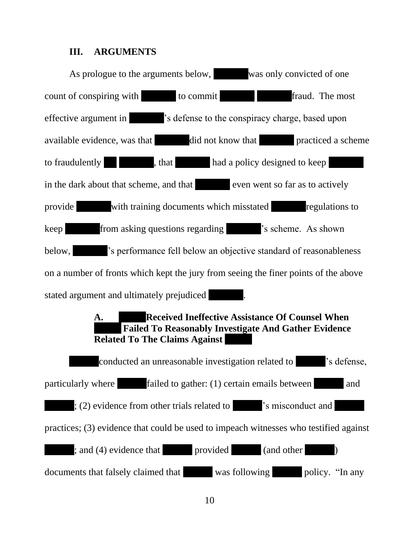#### **III. ARGUMENTS**

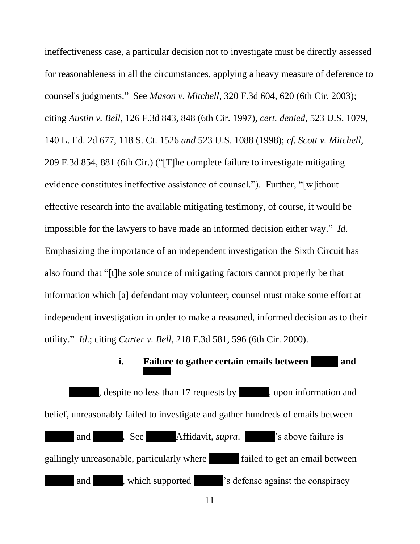ineffectiveness case, a particular decision not to investigate must be directly assessed for reasonableness in all the circumstances, applying a heavy measure of deference to counsel's judgments." See *Mason v. Mitchell*, 320 F.3d 604, 620 (6th Cir. 2003); citing *Austin v. Bell*, 126 F.3d 843, 848 (6th Cir. 1997), *cert. denied*, 523 U.S. 1079, 140 L. Ed. 2d 677, 118 S. Ct. 1526 *and* 523 U.S. 1088 (1998); *cf. Scott v. Mitchell*, 209 F.3d 854, 881 (6th Cir.) ("[T]he complete failure to investigate mitigating evidence constitutes ineffective assistance of counsel."). Further, "[w]ithout effective research into the available mitigating testimony, of course, it would be impossible for the lawyers to have made an informed decision either way." *Id*. Emphasizing the importance of an independent investigation the Sixth Circuit has also found that "[t]he sole source of mitigating factors cannot properly be that information which [a] defendant may volunteer; counsel must make some effort at independent investigation in order to make a reasoned, informed decision as to their utility." *Id*.; citing *Carter v. Bell*, 218 F.3d 581, 596 (6th Cir. 2000).

## **i. Failure to gather certain emails between and**

, despite no less than 17 requests by , upon information and belief, unreasonably failed to investigate and gather hundreds of emails between and . See Affidavit, *supra*. 's above failure is gallingly unreasonable, particularly where failed to get an email between and , which supported  $\blacksquare$  's defense against the conspiracy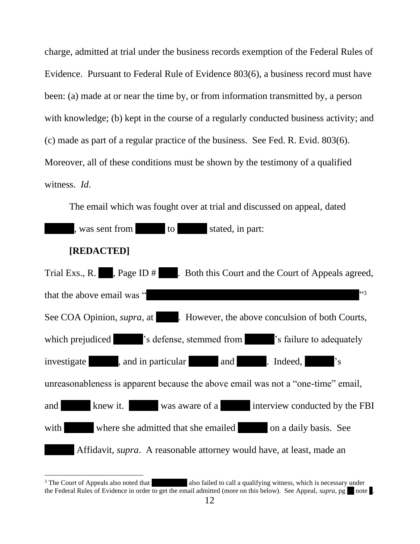charge, admitted at trial under the business records exemption of the Federal Rules of Evidence. Pursuant to Federal Rule of Evidence 803(6), a business record must have been: (a) made at or near the time by, or from information transmitted by, a person with knowledge; (b) kept in the course of a regularly conducted business activity; and (c) made as part of a regular practice of the business. See Fed. R. Evid. 803(6). Moreover, all of these conditions must be shown by the testimony of a qualified witness. *Id*.

The email which was fought over at trial and discussed on appeal, dated , was sent from to stated, in part: **[REDACTED]** Trial Exs., R.  $\blacksquare$ , Page ID  $\#$  . Both this Court and the Court of Appeals agreed, that the above email was " 3 See COA Opinion, *supra*, at . However, the above conculsion of both Courts, which prejudiced  $\blacksquare$  's defense, stemmed from  $\blacksquare$  's failure to adequately investigate , and in particular and . Indeed, 's unreasonableness is apparent because the above email was not a "one-time" email, and knew it. was aware of a interview conducted by the FBI with where she admitted that she emailed on a daily basis. See Affidavit, *supra*. A reasonable attorney would have, at least, made an

<sup>3</sup> The Court of Appeals also noted that also failed to call a qualifying witness, which is necessary under the Federal Rules of Evidence in order to get the email admitted (more on this below). See Appeal, *supra*, pg note.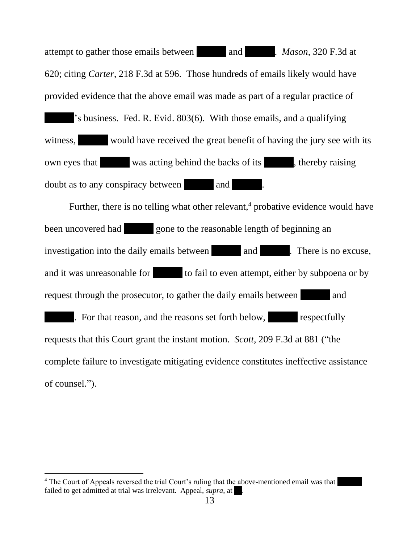attempt to gather those emails between and . *Mason*, 320 F.3d at 620; citing *Carter*, 218 F.3d at 596. Those hundreds of emails likely would have provided evidence that the above email was made as part of a regular practice of 's business. Fed. R. Evid. 803(6). With those emails, and a qualifying witness, would have received the great benefit of having the jury see with its own eyes that was acting behind the backs of its , thereby raising doubt as to any conspiracy between and

Further, there is no telling what other relevant, $4$  probative evidence would have been uncovered had gone to the reasonable length of beginning an investigation into the daily emails between and . There is no excuse, and it was unreasonable for to fail to even attempt, either by subpoena or by request through the prosecutor, to gather the daily emails between and . For that reason, and the reasons set forth below, respectfully requests that this Court grant the instant motion. *Scott*, 209 F.3d at 881 ("the complete failure to investigate mitigating evidence constitutes ineffective assistance of counsel.").

<sup>&</sup>lt;sup>4</sup> The Court of Appeals reversed the trial Court's ruling that the above-mentioned email was that failed to get admitted at trial was irrelevant. Appeal, *supra*, at ...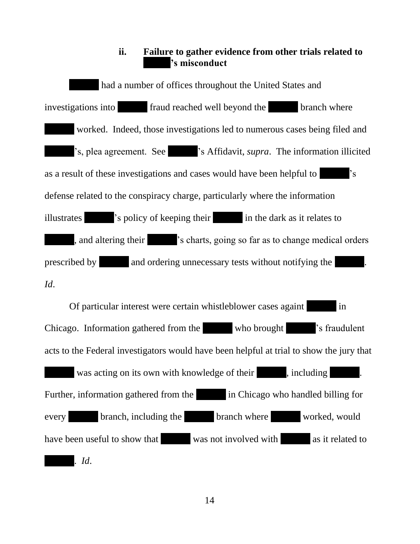#### **ii. Failure to gather evidence from other trials related to 's misconduct**

had a number of offices throughout the United States and investigations into fraud reached well beyond the branch where worked. Indeed, those investigations led to numerous cases being filed and 's, plea agreement. See 's Affidavit, *supra*. The information illicited as a result of these investigations and cases would have been helpful to 's defense related to the conspiracy charge, particularly where the information illustrates  $\blacksquare$  's policy of keeping their in the dark as it relates to , and altering their 's charts, going so far as to change medical orders prescribed by and ordering unnecessary tests without notifying the *Id*.

Of particular interest were certain whistleblower cases againt in Chicago. Information gathered from the who brought 's fraudulent acts to the Federal investigators would have been helpful at trial to show the jury that was acting on its own with knowledge of their , including Further, information gathered from the in Chicago who handled billing for every branch, including the branch where worked, would have been useful to show that was not involved with as it related to . *Id*.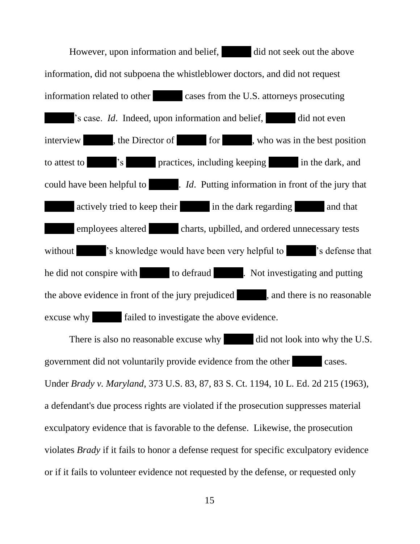However, upon information and belief, did not seek out the above information, did not subpoena the whistleblower doctors, and did not request information related to other cases from the U.S. attorneys prosecuting 's case. *Id*. Indeed, upon information and belief, did not even interview , the Director of for , who was in the best position to attest to  $\overline{\phantom{a}}$  's practices, including keeping in the dark, and could have been helpful to . *Id.* Putting information in front of the jury that actively tried to keep their in the dark regarding and that employees altered charts, upbilled, and ordered unnecessary tests without 's knowledge would have been very helpful to 's defense that he did not conspire with to defraud . Not investigating and putting the above evidence in front of the jury prejudiced , and there is no reasonable excuse why failed to investigate the above evidence.

There is also no reasonable excuse why did not look into why the U.S. government did not voluntarily provide evidence from the other cases. Under *Brady v. Maryland*, 373 U.S. 83, 87, 83 S. Ct. 1194, 10 L. Ed. 2d 215 (1963), a defendant's due process rights are violated if the prosecution suppresses material exculpatory evidence that is favorable to the defense. Likewise, the prosecution violates *Brady* if it fails to honor a defense request for specific exculpatory evidence or if it fails to volunteer evidence not requested by the defense, or requested only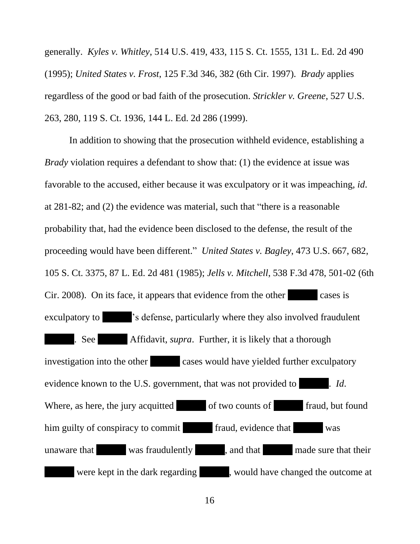generally. *Kyles v. Whitley*, 514 U.S. 419, 433, 115 S. Ct. 1555, 131 L. Ed. 2d 490 (1995); *United States v. Frost*, 125 F.3d 346, 382 (6th Cir. 1997). *Brady* applies regardless of the good or bad faith of the prosecution. *Strickler v. Greene*, 527 U.S. 263, 280, 119 S. Ct. 1936, 144 L. Ed. 2d 286 (1999).

In addition to showing that the prosecution withheld evidence, establishing a *Brady* violation requires a defendant to show that: (1) the evidence at issue was favorable to the accused, either because it was exculpatory or it was impeaching, *id*. at 281-82; and (2) the evidence was material, such that "there is a reasonable probability that, had the evidence been disclosed to the defense, the result of the proceeding would have been different." *United States v. Bagley*, 473 U.S. 667, 682, 105 S. Ct. 3375, 87 L. Ed. 2d 481 (1985); *Jells v. Mitchell*, 538 F.3d 478, 501-02 (6th Cir. 2008). On its face, it appears that evidence from the other cases is exculpatory to  $\cdot$  's defense, particularly where they also involved fraudulent . See Affidavit, *supra*. Further, it is likely that a thorough investigation into the other cases would have yielded further exculpatory evidence known to the U.S. government, that was not provided to . Id. Where, as here, the jury acquitted of two counts of fraud, but found him guilty of conspiracy to commit fraud, evidence that was unaware that was fraudulently , and that made sure that their were kept in the dark regarding , would have changed the outcome at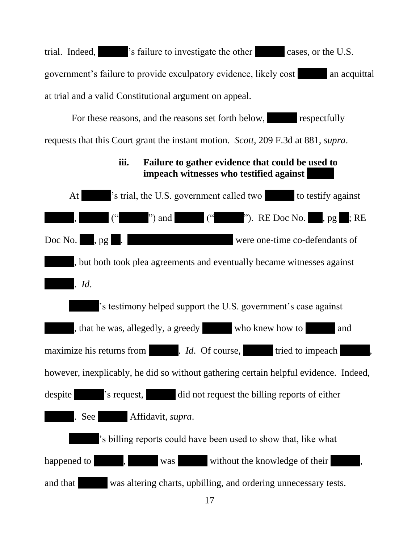trial. Indeed,  $\blacksquare$  's failure to investigate the other cases, or the U.S. government's failure to provide exculpatory evidence, likely cost an acquittal at trial and a valid Constitutional argument on appeal.

For these reasons, and the reasons set forth below, respectfully requests that this Court grant the instant motion. *Scott*, 209 F.3d at 881, *supra*.

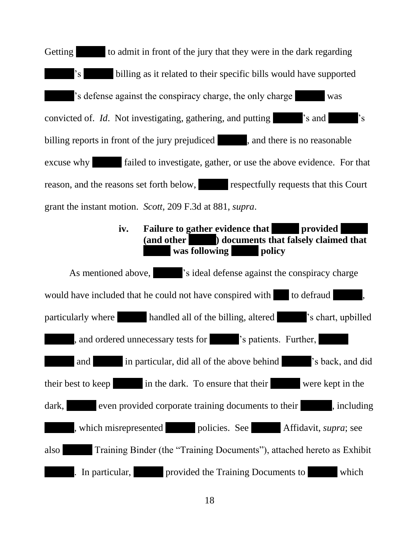Getting to admit in front of the jury that they were in the dark regarding 's billing as it related to their specific bills would have supported 's defense against the conspiracy charge, the only charge was convicted of. *Id*. Not investigating, gathering, and putting  $\cdot$  s and  $\cdot$  s billing reports in front of the jury prejudiced , and there is no reasonable excuse why failed to investigate, gather, or use the above evidence. For that reason, and the reasons set forth below, respectfully requests that this Court grant the instant motion. *Scott*, 209 F.3d at 881, *supra*.

## **iv. Failure to gather evidence that <b>provided (and other ) documents that falsely claimed that**  was **following policy**

As mentioned above,  $\cdot$  's ideal defense against the conspiracy charge would have included that he could not have conspired with to defraud particularly where handled all of the billing, altered 's chart, upbilled , and ordered unnecessary tests for 's patients. Further, and in particular, did all of the above behind 's back, and did their best to keep in the dark. To ensure that their were kept in the dark, even provided corporate training documents to their , including , which misrepresented policies. See Affidavit, *supra*; see also Training Binder (the "Training Documents"), attached hereto as Exhibit . In particular, provided the Training Documents to which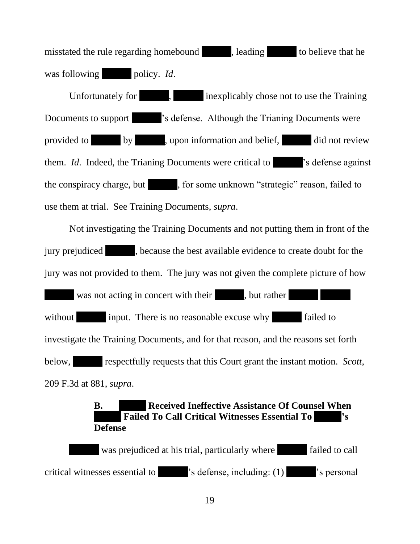misstated the rule regarding homebound , leading to believe that he was following policy. *Id.* 

Unfortunately for  $\,$ ,  $\,$  inexplicably chose not to use the Training Documents to support  $\blacksquare$  's defense. Although the Trianing Documents were provided to by , upon information and belief, did not review them. *Id*. Indeed, the Trianing Documents were critical to 's defense against the conspiracy charge, but , for some unknown "strategic" reason, failed to use them at trial. See Training Documents, *supra*.

Not investigating the Training Documents and not putting them in front of the jury prejudiced , because the best available evidence to create doubt for the jury was not provided to them. The jury was not given the complete picture of how

was not acting in concert with their , but rather without input. There is no reasonable excuse why failed to investigate the Training Documents, and for that reason, and the reasons set forth below, respectfully requests that this Court grant the instant motion. *Scott*, 209 F.3d at 881, *supra*.

### **B. Received Ineffective Assistance Of Counsel When Failed To Call Critical Witnesses Essential To Defense**

was prejudiced at his trial, particularly where failed to call critical witnesses essential to 's defense, including: (1) 's personal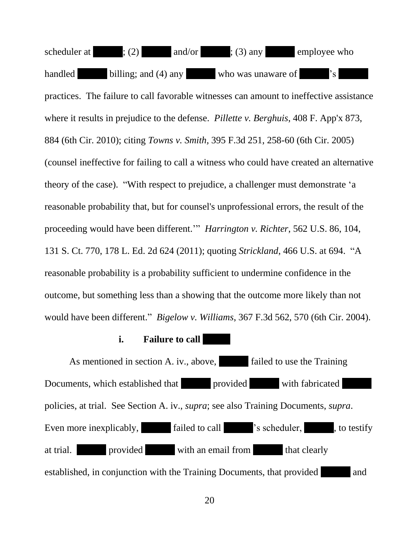scheduler at  $\qquad$ ; (2) and/or ; (3) any employee who handled billing; and (4) any who was unaware of 's practices. The failure to call favorable witnesses can amount to ineffective assistance where it results in prejudice to the defense. *Pillette v. Berghuis*, 408 F. App'x 873, 884 (6th Cir. 2010); citing *Towns v. Smith,* 395 F.3d 251, 258-60 (6th Cir. 2005) (counsel ineffective for failing to call a witness who could have created an alternative theory of the case). "With respect to prejudice, a challenger must demonstrate 'a reasonable probability that, but for counsel's unprofessional errors, the result of the proceeding would have been different.'" *Harrington v. Richter*, 562 U.S. 86, 104, 131 S. Ct. 770, 178 L. Ed. 2d 624 (2011); quoting *Strickland*, 466 U.S. at 694. "A reasonable probability is a probability sufficient to undermine confidence in the outcome, but something less than a showing that the outcome more likely than not would have been different." *Bigelow v. Williams*, 367 F.3d 562, 570 (6th Cir. 2004).

#### **i. Failure to call**

As mentioned in section A. iv., above, failed to use the Training Documents, which established that provided with fabricated policies, at trial. See Section A. iv., *supra*; see also Training Documents, *supra*. Even more inexplicably, failed to call  $\blacksquare$  's scheduler, , to testify at trial. **provided** with an email from that clearly established, in conjunction with the Training Documents, that provided and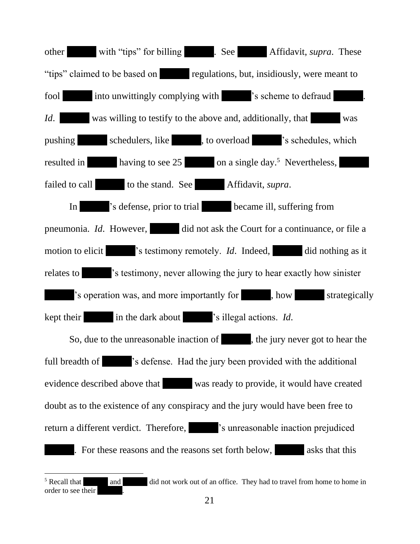other with "tips" for billing . See Affidavit, *supra*. These "tips" claimed to be based on regulations, but, insidiously, were meant to fool into unwittingly complying with 's scheme to defraud *Id.* was willing to testify to the above and, additionally, that was pushing schedulers, like , to overload 's schedules, which resulted in having to see 25 on a single day.<sup>5</sup> Nevertheless, failed to call to the stand. See Affidavit, *supra*. In 's defense, prior to trial became ill, suffering from pneumonia. *Id*. However, did not ask the Court for a continuance, or file a motion to elicit <sup>'s</sup> testimony remotely. *Id*. Indeed, did nothing as it relates to 's testimony, never allowing the jury to hear exactly how sinister 's operation was, and more importantly for , how strategically kept their in the dark about 's illegal actions. *Id*. So, due to the unreasonable inaction of , the jury never got to hear the full breadth of 's defense. Had the jury been provided with the additional evidence described above that was ready to provide, it would have created doubt as to the existence of any conspiracy and the jury would have been free to return a different verdict. Therefore,  $\blacksquare$  's unreasonable inaction prejudiced . For these reasons and the reasons set forth below, asks that this

<sup>&</sup>lt;sup>5</sup> Recall that and did not work out of an office. They had to travel from home to home in order to see their .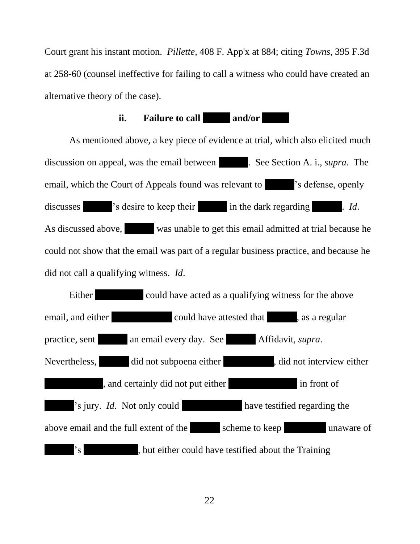Court grant his instant motion. *Pillette,* 408 F. App'x at 884; citing *Towns,* 395 F.3d at 258-60 (counsel ineffective for failing to call a witness who could have created an alternative theory of the case).

#### **ii. Failure to call and/or**

As mentioned above, a key piece of evidence at trial, which also elicited much discussion on appeal, was the email between . See Section A. i., *supra*. The email, which the Court of Appeals found was relevant to  $\blacksquare$  's defense, openly discusses  $\cdot$  's desire to keep their in the dark regarding . *Id.* As discussed above, was unable to get this email admitted at trial because he could not show that the email was part of a regular business practice, and because he did not call a qualifying witness. *Id*.

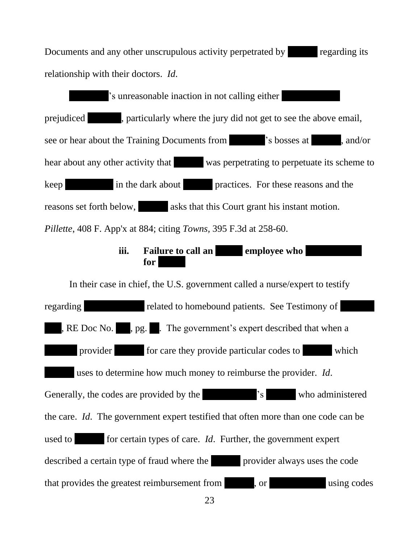Documents and any other unscrupulous activity perpetrated by regarding its relationship with their doctors. *Id*.

 's unreasonable inaction in not calling either prejudiced , particularly where the jury did not get to see the above email, see or hear about the Training Documents from 's bosses at , and/or hear about any other activity that was perpetrating to perpetuate its scheme to keep in the dark about practices. For these reasons and the reasons set forth below, asks that this Court grant his instant motion. *Pillette*, 408 F. App'x at 884; citing *Towns,* 395 F.3d at 258-60.

## **iii. Failure to call an employee who for**

In their case in chief, the U.S. government called a nurse/expert to testify regarding related to homebound patients. See Testimony of , RE Doc No. , pg. . The government's expert described that when a provider for care they provide particular codes to which uses to determine how much money to reimburse the provider. *Id*. Generally, the codes are provided by the 's who administered the care. *Id*. The government expert testified that often more than one code can be used to for certain types of care. *Id*. Further, the government expert described a certain type of fraud where the provider always uses the code that provides the greatest reimbursement from , or using codes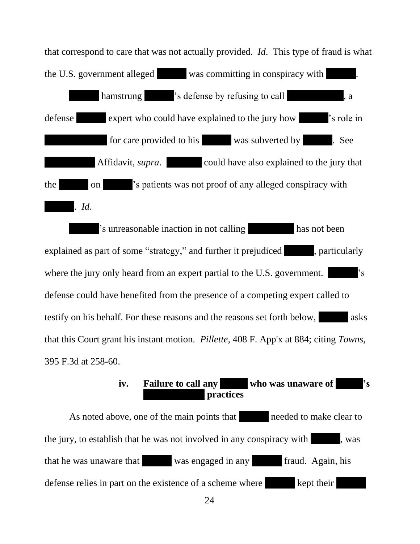that correspond to care that was not actually provided. *Id*. This type of fraud is what the U.S. government alleged was committing in conspiracy with hamstrung  $\blacksquare$  's defense by refusing to call , a defense expert who could have explained to the jury how 's role in for care provided to his was subverted by . See Affidavit, *supra*. the on 's patients was not proof of any alleged conspiracy with . *Id*.

's unreasonable inaction in not calling has not been explained as part of some "strategy," and further it prejudiced,  $\blacksquare$ , particularly where the jury only heard from an expert partial to the U.S. government. defense could have benefited from the presence of a competing expert called to testify on his behalf. For these reasons and the reasons set forth below, asks that this Court grant his instant motion. *Pillette*, 408 F. App'x at 884; citing *Towns,* 395 F.3d at 258-60.

> iv. Failure to call any who was unaware of  $\sim$  <sup>3</sup>s **practices**

As noted above, one of the main points that needed to make clear to the jury, to establish that he was not involved in any conspiracy with , was that he was unaware that was engaged in any fraud. Again, his defense relies in part on the existence of a scheme where kept their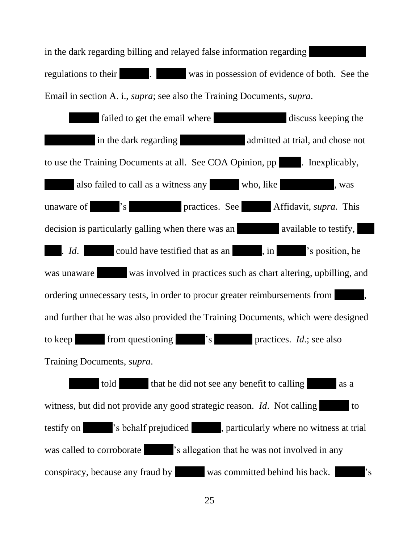in the dark regarding billing and relayed false information regarding regulations to their . was in possession of evidence of both. See the Email in section A. i., *supra*; see also the Training Documents, *supra*.

failed to get the email where discuss keeping the in the dark regarding admitted at trial, and chose not to use the Training Documents at all. See COA Opinion, pp . Inexplicably, also failed to call as a witness any who, like , was unaware of 's practices. See Affidavit, *supra*. This decision is particularly galling when there was an available to testify, . *Id.* could have testified that as an , in 's position, he was unaware was involved in practices such as chart altering, upbilling, and ordering unnecessary tests, in order to procur greater reimbursements from , and further that he was also provided the Training Documents, which were designed to keep from questioning 's practices. *Id*.; see also Training Documents, *supra*. told that he did not see any benefit to calling as a witness, but did not provide any good strategic reason. *Id*. Not calling to testify on 's behalf prejudiced , particularly where no witness at trial was called to corroborate  $\blacksquare$  's allegation that he was not involved in any

conspiracy, because any fraud by was committed behind his back.  $\cdot$  's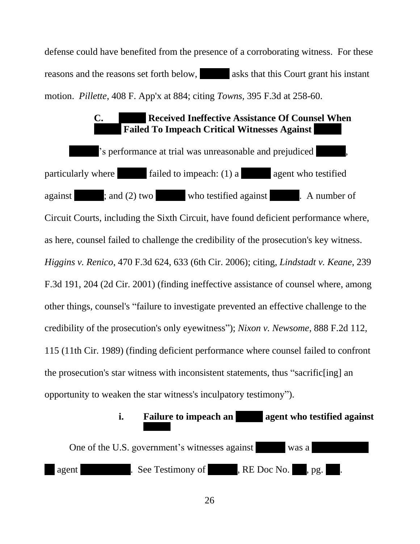defense could have benefited from the presence of a corroborating witness. For these reasons and the reasons set forth below, asks that this Court grant his instant motion. *Pillette*, 408 F. App'x at 884; citing *Towns,* 395 F.3d at 258-60.

## **C. Received Ineffective Assistance Of Counsel When Failed To Impeach Critical Witnesses Against**

's performance at trial was unreasonable and prejudiced particularly where  $\qquad \qquad$  failed to impeach: (1) a agent who testified against ; and (2) two who testified against . A number of Circuit Courts, including the Sixth Circuit, have found deficient performance where, as here, counsel failed to challenge the credibility of the prosecution's key witness. *Higgins v. Renico*, 470 F.3d 624, 633 (6th Cir. 2006); citing, *Lindstadt v. Keane*, 239 F.3d 191, 204 (2d Cir. 2001) (finding ineffective assistance of counsel where, among other things, counsel's "failure to investigate prevented an effective challenge to the credibility of the prosecution's only eyewitness"); *Nixon v. Newsome*, 888 F.2d 112, 115 (11th Cir. 1989) (finding deficient performance where counsel failed to confront the prosecution's star witness with inconsistent statements, thus "sacrific[ing] an opportunity to weaken the star witness's inculpatory testimony").

## **i. Failure to impeach an agent who testified against**

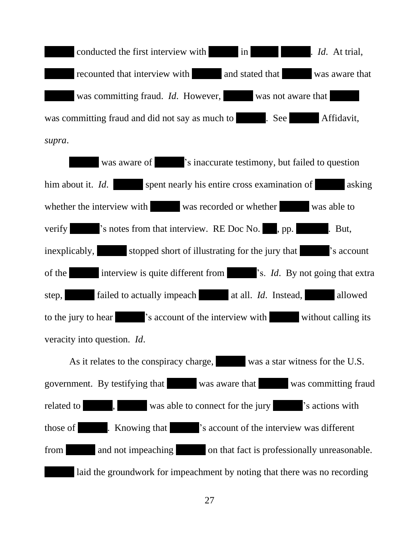conducted the first interview with in . *Id.* At trial, recounted that interview with and stated that was aware that was committing fraud. *Id*. However, was not aware that was committing fraud and did not say as much to . See Affidavit, *supra*.

was aware of  $\cdot$  's inaccurate testimony, but failed to question him about it. *Id*. spent nearly his entire cross examination of asking whether the interview with was recorded or whether was able to verify  $\cdot$  's notes from that interview. RE Doc No. , pp.  $\cdot$  But, inexplicably, stopped short of illustrating for the jury that  $\cdot$  s account of the interview is quite different from 's. *Id*. By not going that extra step, failed to actually impeach at all. *Id*. Instead, allowed to the jury to hear  $\cdot$  's account of the interview with without calling its veracity into question. *Id*.

As it relates to the conspiracy charge, was a star witness for the U.S. government. By testifying that was aware that was committing fraud related to  $\qquad$ , was able to connect for the jury  $\qquad$  's actions with those of . Knowing that 's account of the interview was different from and not impeaching on that fact is professionally unreasonable. laid the groundwork for impeachment by noting that there was no recording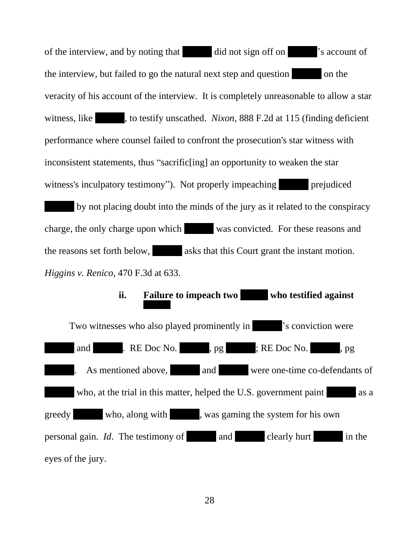of the interview, and by noting that did not sign off on 's account of the interview, but failed to go the natural next step and question on the veracity of his account of the interview. It is completely unreasonable to allow a star witness, like , to testify unscathed. *Nixon*, 888 F.2d at 115 (finding deficient performance where counsel failed to confront the prosecution's star witness with inconsistent statements, thus "sacrific[ing] an opportunity to weaken the star witness's inculpatory testimony"). Not properly impeaching prejudiced by not placing doubt into the minds of the jury as it related to the conspiracy charge, the only charge upon which was convicted. For these reasons and the reasons set forth below, asks that this Court grant the instant motion. *Higgins v. Renico*, 470 F.3d at 633.

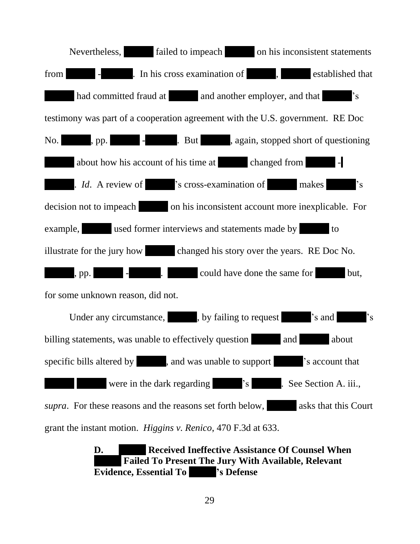

**D. Received Ineffective Assistance Of Counsel When Failed To Present The Jury With Available, Relevant Evidence, Essential To 's Defense**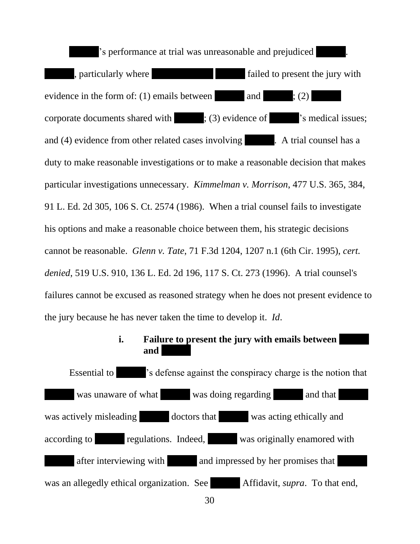's performance at trial was unreasonable and prejudiced , particularly where failed to present the jury with evidence in the form of: (1) emails between and  $; (2)$ corporate documents shared with ; (3) evidence of  $\blacksquare$  's medical issues; and (4) evidence from other related cases involving . A trial counsel has a duty to make reasonable investigations or to make a reasonable decision that makes particular investigations unnecessary. *Kimmelman v. Morrison*, 477 U.S. 365, 384, 91 L. Ed. 2d 305, 106 S. Ct. 2574 (1986). When a trial counsel fails to investigate his options and make a reasonable choice between them, his strategic decisions cannot be reasonable. *Glenn v. Tate*, 71 F.3d 1204, 1207 n.1 (6th Cir. 1995), *cert. denied*, 519 U.S. 910, 136 L. Ed. 2d 196, 117 S. Ct. 273 (1996). A trial counsel's failures cannot be excused as reasoned strategy when he does not present evidence to the jury because he has never taken the time to develop it. *Id*.

#### **i. Failure to present the jury with emails between and**

Essential to 's defense against the conspiracy charge is the notion that was unaware of what was doing regarding and that was actively misleading doctors that was acting ethically and according to regulations. Indeed, was originally enamored with after interviewing with and impressed by her promises that was an allegedly ethical organization. See Affidavit, *supra*. To that end,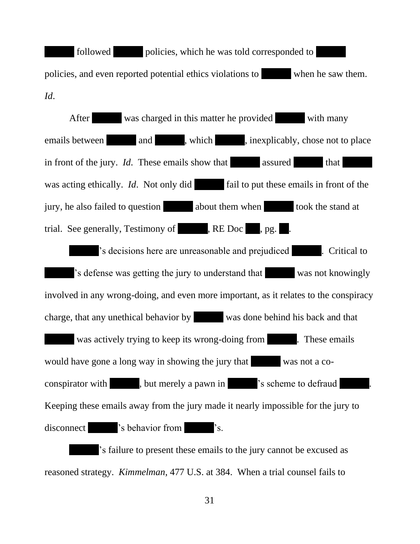followed policies, which he was told corresponded to policies, and even reported potential ethics violations to when he saw them. *Id*.

After was charged in this matter he provided with many emails between and , which , inexplicably, chose not to place in front of the jury. *Id*. These emails show that assured that was acting ethically. *Id*. Not only did fail to put these emails in front of the jury, he also failed to question about them when took the stand at trial. See generally, Testimony of , RE Doc , pg. 's decisions here are unreasonable and prejudiced . Critical to 's defense was getting the jury to understand that was not knowingly involved in any wrong-doing, and even more important, as it relates to the conspiracy charge, that any unethical behavior by was done behind his back and that was actively trying to keep its wrong-doing from . These emails would have gone a long way in showing the jury that was not a coconspirator with , but merely a pawn in 's scheme to defraud Keeping these emails away from the jury made it nearly impossible for the jury to disconnect 's behavior from 's.

's failure to present these emails to the jury cannot be excused as reasoned strategy. *Kimmelman*, 477 U.S. at 384. When a trial counsel fails to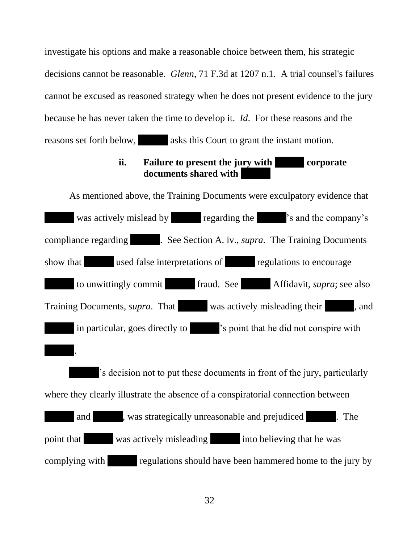investigate his options and make a reasonable choice between them, his strategic decisions cannot be reasonable. *Glenn*, 71 F.3d at 1207 n.1. A trial counsel's failures cannot be excused as reasoned strategy when he does not present evidence to the jury because he has never taken the time to develop it. *Id*. For these reasons and the reasons set forth below, asks this Court to grant the instant motion.

## **ii. Failure to present the jury with corporate documents shared with**

As mentioned above, the Training Documents were exculpatory evidence that was actively mislead by regarding the 's and the company's compliance regarding . See Section A. iv., *supra*. The Training Documents show that used false interpretations of regulations to encourage to unwittingly commit fraud. See Affidavit, *supra*; see also Training Documents, *supra*. That was actively misleading their , and in particular, goes directly to 's point that he did not conspire with . 's decision not to put these documents in front of the jury, particularly where they clearly illustrate the absence of a conspiratorial connection between and , was strategically unreasonable and prejudiced . The point that was actively misleading into believing that he was complying with regulations should have been hammered home to the jury by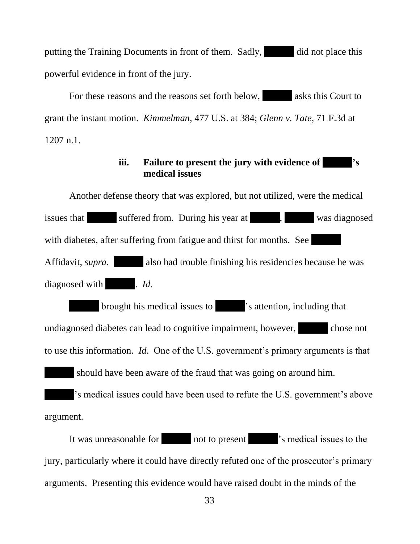putting the Training Documents in front of them. Sadly, did not place this powerful evidence in front of the jury.

For these reasons and the reasons set forth below, asks this Court to grant the instant motion. *Kimmelman*, 477 U.S. at 384; *Glenn v. Tate*, 71 F.3d at 1207 n.1.

### **iii. Failure to present the jury with evidence of 's medical issues**

Another defense theory that was explored, but not utilized, were the medical issues that suffered from. During his year at , was diagnosed with diabetes, after suffering from fatigue and thirst for months. See Affidavit, *supra*. also had trouble finishing his residencies because he was diagnosed with . *Id.* 

brought his medical issues to 's attention, including that undiagnosed diabetes can lead to cognitive impairment, however, chose not to use this information. *Id*. One of the U.S. government's primary arguments is that should have been aware of the fraud that was going on around him. 's medical issues could have been used to refute the U.S. government's above argument.

It was unreasonable for not to present 's medical issues to the jury, particularly where it could have directly refuted one of the prosecutor's primary arguments. Presenting this evidence would have raised doubt in the minds of the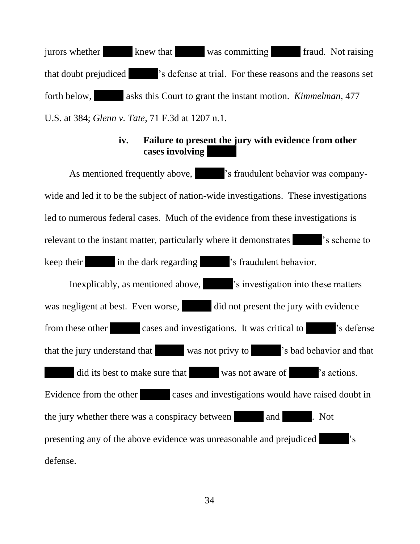jurors whether knew that was committing fraud. Not raising that doubt prejudiced 's defense at trial. For these reasons and the reasons set forth below, asks this Court to grant the instant motion. *Kimmelman*, 477 U.S. at 384; *Glenn v. Tate*, 71 F.3d at 1207 n.1.

#### **iv. Failure to present the jury with evidence from other cases involving**

As mentioned frequently above,  $\blacksquare$  's fraudulent behavior was companywide and led it to be the subject of nation-wide investigations. These investigations led to numerous federal cases. Much of the evidence from these investigations is relevant to the instant matter, particularly where it demonstrates 's scheme to keep their in the dark regarding 's fraudulent behavior. Inexplicably, as mentioned above, 's investigation into these matters was negligent at best. Even worse, did not present the jury with evidence from these other cases and investigations. It was critical to 's defense that the jury understand that was not privy to 's bad behavior and that did its best to make sure that was not aware of 's actions. Evidence from the other cases and investigations would have raised doubt in the jury whether there was a conspiracy between and . Not presenting any of the above evidence was unreasonable and prejudiced  $\cdot$  's defense.

34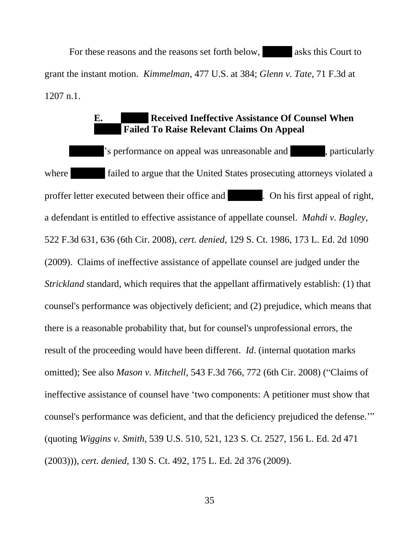For these reasons and the reasons set forth below, asks this Court to grant the instant motion. *Kimmelman*, 477 U.S. at 384; *Glenn v. Tate*, 71 F.3d at 1207 n.1.

## **E. Received Ineffective Assistance Of Counsel When Failed To Raise Relevant Claims On Appeal**

's performance on appeal was unreasonable and , particularly where **failed to argue that the United States prosecuting attorneys violated a** proffer letter executed between their office and . On his first appeal of right, a defendant is entitled to effective assistance of appellate counsel. *Mahdi v. Bagley*, 522 F.3d 631, 636 (6th Cir. 2008), *cert. denied*, 129 S. Ct. 1986, 173 L. Ed. 2d 1090 (2009). Claims of ineffective assistance of appellate counsel are judged under the *Strickland* standard, which requires that the appellant affirmatively establish: (1) that counsel's performance was objectively deficient; and (2) prejudice, which means that there is a reasonable probability that, but for counsel's unprofessional errors, the result of the proceeding would have been different. *Id*. (internal quotation marks omitted); See also *Mason v. Mitchell*, 543 F.3d 766, 772 (6th Cir. 2008) ("Claims of ineffective assistance of counsel have 'two components: A petitioner must show that counsel's performance was deficient, and that the deficiency prejudiced the defense.'" (quoting *Wiggins v. Smith*, 539 U.S. 510, 521, 123 S. Ct. 2527, 156 L. Ed. 2d 471 (2003))), *cert. denied*, 130 S. Ct. 492, 175 L. Ed. 2d 376 (2009).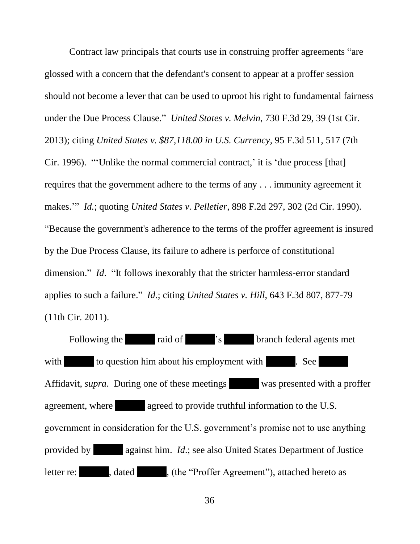Contract law principals that courts use in construing proffer agreements "are glossed with a concern that the defendant's consent to appear at a proffer session should not become a lever that can be used to uproot his right to fundamental fairness under the Due Process Clause." *United States v. Melvin*, 730 F.3d 29, 39 (1st Cir. 2013); citing *United States v. \$87,118.00 in U.S. Currency*, 95 F.3d 511, 517 (7th Cir. 1996). "'Unlike the normal commercial contract,' it is 'due process [that] requires that the government adhere to the terms of any . . . immunity agreement it makes.'" *Id.*; quoting *United States v. Pelletier*, 898 F.2d 297, 302 (2d Cir. 1990). "Because the government's adherence to the terms of the proffer agreement is insured by the Due Process Clause, its failure to adhere is perforce of constitutional dimension." *Id*. "It follows inexorably that the stricter harmless-error standard applies to such a failure." *Id*.; citing *United States v. Hill*, 643 F.3d 807, 877-79 (11th Cir. 2011).

Following the raid of 's branch federal agents met with to question him about his employment with . See Affidavit, *supra*. During one of these meetings was presented with a proffer agreement, where agreed to provide truthful information to the U.S. government in consideration for the U.S. government's promise not to use anything provided by against him. *Id*.; see also United States Department of Justice letter re: , dated , (the "Proffer Agreement"), attached hereto as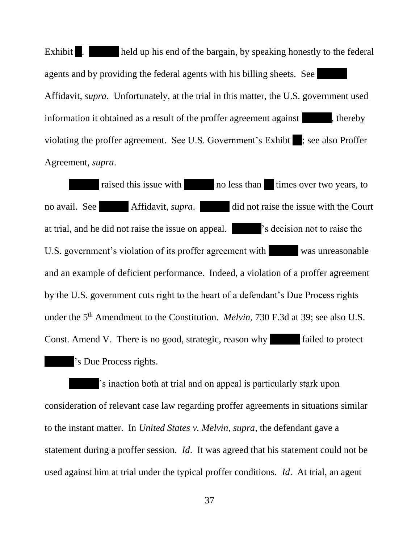Exhibit . held up his end of the bargain, by speaking honestly to the federal agents and by providing the federal agents with his billing sheets. See Affidavit, *supra*. Unfortunately, at the trial in this matter, the U.S. government used information it obtained as a result of the proffer agreement against , thereby violating the proffer agreement. See U.S. Government's Exhibit ; see also Proffer Agreement, *supra*.

raised this issue with no less than times over two years, to no avail. See Affidavit, *supra*. did not raise the issue with the Court at trial, and he did not raise the issue on appeal. 's decision not to raise the U.S. government's violation of its proffer agreement with was unreasonable and an example of deficient performance. Indeed, a violation of a proffer agreement by the U.S. government cuts right to the heart of a defendant's Due Process rights under the 5<sup>th</sup> Amendment to the Constitution. *Melvin*, 730 F.3d at 39; see also U.S. Const. Amend V. There is no good, strategic, reason why failed to protect 's Due Process rights.

's inaction both at trial and on appeal is particularly stark upon consideration of relevant case law regarding proffer agreements in situations similar to the instant matter. In *United States v. Melvin*, *supra*, the defendant gave a statement during a proffer session. *Id*.It was agreed that his statement could not be used against him at trial under the typical proffer conditions. *Id*. At trial, an agent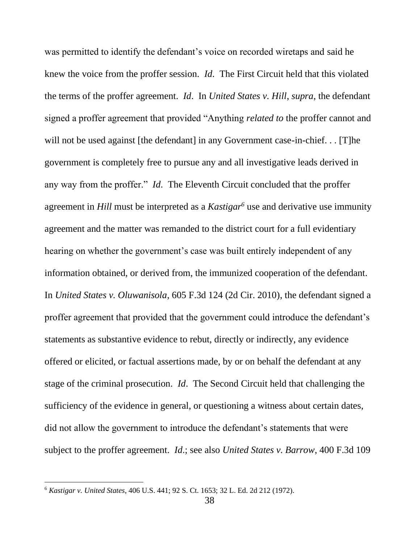was permitted to identify the defendant's voice on recorded wiretaps and said he knew the voice from the proffer session. *Id*. The First Circuit held that this violated the terms of the proffer agreement. *Id*. In *United States v. Hill*, *supra*, the defendant signed a proffer agreement that provided "Anything *related to* the proffer cannot and will not be used against [the defendant] in any Government case-in-chief... [T]he government is completely free to pursue any and all investigative leads derived in any way from the proffer." *Id*. The Eleventh Circuit concluded that the proffer agreement in *Hill* must be interpreted as a *Kastigar<sup>6</sup>* use and derivative use immunity agreement and the matter was remanded to the district court for a full evidentiary hearing on whether the government's case was built entirely independent of any information obtained, or derived from, the immunized cooperation of the defendant. In *United States v. Oluwanisola*, 605 F.3d 124 (2d Cir. 2010), the defendant signed a proffer agreement that provided that the government could introduce the defendant's statements as substantive evidence to rebut, directly or indirectly, any evidence offered or elicited, or factual assertions made, by or on behalf the defendant at any stage of the criminal prosecution. *Id*. The Second Circuit held that challenging the sufficiency of the evidence in general, or questioning a witness about certain dates, did not allow the government to introduce the defendant's statements that were subject to the proffer agreement. *Id*.; see also *United States v. Barrow*, 400 F.3d 109

<sup>6</sup> *Kastigar v. United States*, 406 U.S. 441; 92 S. Ct. 1653; 32 L. Ed. 2d 212 (1972).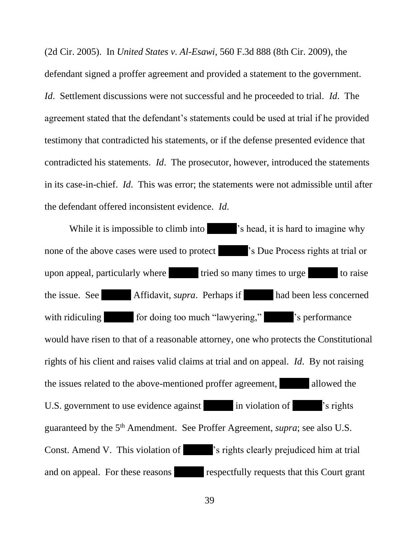(2d Cir. 2005). In *United States v. Al-Esawi*, 560 F.3d 888 (8th Cir. 2009), the defendant signed a proffer agreement and provided a statement to the government. *Id*. Settlement discussions were not successful and he proceeded to trial. *Id*. The agreement stated that the defendant's statements could be used at trial if he provided testimony that contradicted his statements, or if the defense presented evidence that contradicted his statements. *Id*. The prosecutor, however, introduced the statements in its case-in-chief. *Id*. This was error; the statements were not admissible until after the defendant offered inconsistent evidence. *Id*.

While it is impossible to climb into  $\blacksquare$  's head, it is hard to imagine why none of the above cases were used to protect 's Due Process rights at trial or upon appeal, particularly where tried so many times to urge to raise the issue. See Affidavit, *supra*. Perhaps if had been less concerned with ridiculing for doing too much "lawyering," 's performance would have risen to that of a reasonable attorney, one who protects the Constitutional rights of his client and raises valid claims at trial and on appeal. *Id*. By not raising the issues related to the above-mentioned proffer agreement, allowed the U.S. government to use evidence against in violation of 's rights' guaranteed by the 5<sup>th</sup> Amendment. See Proffer Agreement, *supra*; see also U.S. Const. Amend V. This violation of 's rights clearly prejudiced him at trial and on appeal. For these reasons respectfully requests that this Court grant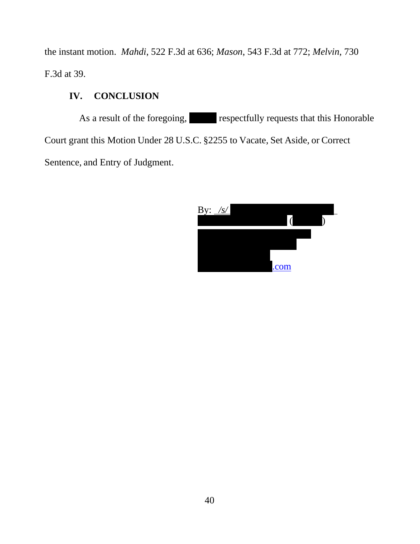the instant motion. *Mahdi*, 522 F.3d at 636; *Mason*, 543 F.3d at 772; *Melvin*, 730 F.3d at 39.

## **IV. CONCLUSION**

As a result of the foregoing, respectfully requests that this Honorable Court grant this Motion Under 28 U.S.C. §2255 to Vacate, Set Aside, or Correct Sentence, and Entry of Judgment.

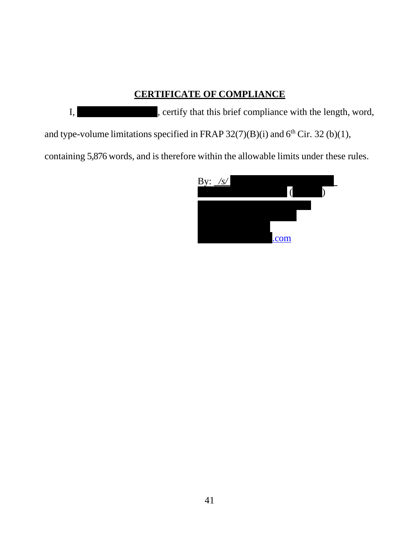## **CERTIFICATE OF COMPLIANCE**

I, certify that this brief compliance with the length, word,

and type-volume limitations specified in FRAP  $32(7)(B)(i)$  and  $6<sup>th</sup>$  Cir. 32 (b)(1),

containing 5,876 words, and is therefore within the allowable limits under these rules.